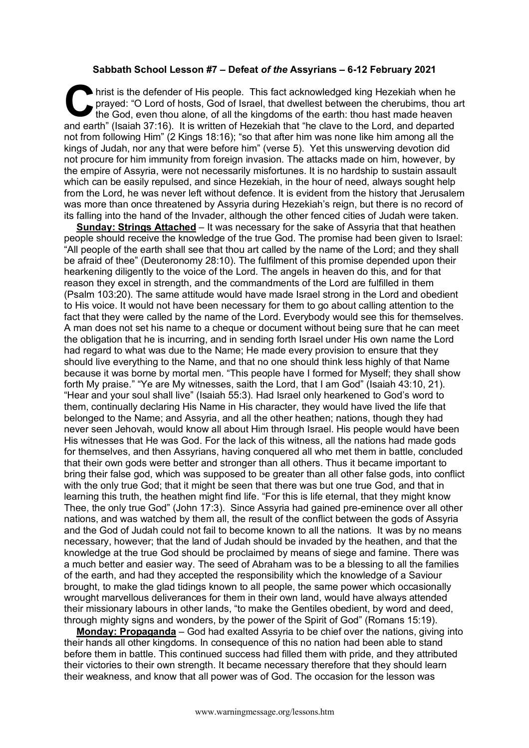## **Sabbath School Lesson #7 – Defeat** *of the* **Assyrians – 6-12 February 2021**

hrist is the defender of His people. This fact acknowledged king Hezekiah when he prayed: "O Lord of hosts, God of Israel, that dwellest between the cherubims, thou at the God, even thou alone, of all the kingdoms of the e prayed: "O Lord of hosts, God of Israel, that dwellest between the cherubims, thou art the God, even thou alone, of all the kingdoms of the earth: thou hast made heaven and earth" (Isaiah 37:16). It is written of Hezekiah that "he clave to the Lord, and departed not from following Him" (2 Kings 18:16); "so that after him was none like him among all the kings of Judah, nor any that were before him" (verse 5). Yet this unswerving devotion did not procure for him immunity from foreign invasion. The attacks made on him, however, by the empire of Assyria, were not necessarily misfortunes. It is no hardship to sustain assault which can be easily repulsed, and since Hezekiah, in the hour of need, always sought help from the Lord, he was never left without defence. It is evident from the history that Jerusalem was more than once threatened by Assyria during Hezekiah's reign, but there is no record of its falling into the hand of the Invader, although the other fenced cities of Judah were taken.

**Sunday: Strings Attached** – It was necessary for the sake of Assyria that that heathen people should receive the knowledge of the true God. The promise had been given to Israel: "All people of the earth shall see that thou art called by the name of the Lord; and they shall be afraid of thee" (Deuteronomy 28:10). The fulfilment of this promise depended upon their hearkening diligently to the voice of the Lord. The angels in heaven do this, and for that reason they excel in strength, and the commandments of the Lord are fulfilled in them (Psalm 103:20). The same attitude would have made Israel strong in the Lord and obedient to His voice. It would not have been necessary for them to go about calling attention to the fact that they were called by the name of the Lord. Everybody would see this for themselves. A man does not set his name to a cheque or document without being sure that he can meet the obligation that he is incurring, and in sending forth Israel under His own name the Lord had regard to what was due to the Name; He made every provision to ensure that they should live everything to the Name, and that no one should think less highly of that Name because it was borne by mortal men. "This people have I formed for Myself; they shall show forth My praise." "Ye are My witnesses, saith the Lord, that I am God" (Isaiah 43:10, 21). "Hear and your soul shall live" (Isaiah 55:3). Had Israel only hearkened to God's word to them, continually declaring His Name in His character, they would have lived the life that belonged to the Name; and Assyria, and all the other heathen; nations, though they had never seen Jehovah, would know all about Him through Israel. His people would have been His witnesses that He was God. For the lack of this witness, all the nations had made gods for themselves, and then Assyrians, having conquered all who met them in battle, concluded that their own gods were better and stronger than all others. Thus it became important to bring their false god, which was supposed to be greater than all other false gods, into conflict with the only true God; that it might be seen that there was but one true God, and that in learning this truth, the heathen might find life. "For this is life eternal, that they might know Thee, the only true God" (John 17:3). Since Assyria had gained pre-eminence over all other nations, and was watched by them all, the result of the conflict between the gods of Assyria and the God of Judah could not fail to become known to all the nations. It was by no means necessary, however; that the land of Judah should be invaded by the heathen, and that the knowledge at the true God should be proclaimed by means of siege and famine. There was a much better and easier way. The seed of Abraham was to be a blessing to all the families of the earth, and had they accepted the responsibility which the knowledge of a Saviour brought, to make the glad tidings known to all people, the same power which occasionally wrought marvellous deliverances for them in their own land, would have always attended their missionary labours in other lands, "to make the Gentiles obedient, by word and deed, through mighty signs and wonders, by the power of the Spirit of God" (Romans 15:19).

**Monday: Propaganda** – God had exalted Assyria to be chief over the nations, giving into their hands all other kingdoms. In consequence of this no nation had been able to stand before them in battle. This continued success had filled them with pride, and they attributed their victories to their own strength. It became necessary therefore that they should learn their weakness, and know that all power was of God. The occasion for the lesson was